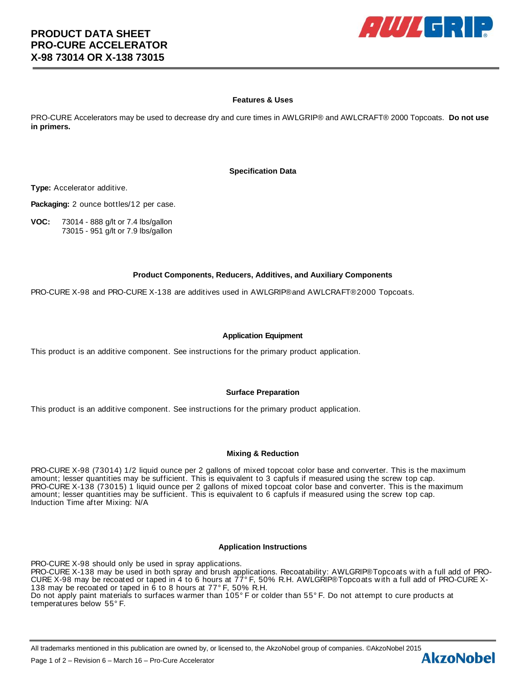

## **Features & Uses**

PRO-CURE Accelerators may be used to decrease dry and cure times in AWLGRIP® and AWLCRAFT® 2000 Topcoats. **Do not use in primers.**

### **Specification Data**

**Type:** Accelerator additive.

**Packaging:** 2 ounce bottles/12 per case.

**VOC:** 73014 - 888 g/lt or 7.4 lbs/gallon 73015 - 951 g/lt or 7.9 lbs/gallon

## **Product Components, Reducers, Additives, and Auxiliary Components**

PRO-CURE X-98 and PRO-CURE X-138 are additives used in AWLGRIP® and AWLCRAFT® 2000 Topcoats.

### **Application Equipment**

This product is an additive component. See instructions for the primary product application.

#### **Surface Preparation**

This product is an additive component. See instructions for the primary product application.

#### **Mixing & Reduction**

PRO-CURE X-98 (73014) 1/2 liquid ounce per 2 gallons of mixed topcoat color base and converter. This is the maximum amount; lesser quantities may be sufficient. This is equivalent to 3 capfuls if measured using the screw top cap. PRO-CURE X-138 (73015) 1 liquid ounce per 2 gallons of mixed topcoat color base and converter. This is the maximum amount; lesser quantities may be sufficient. This is equivalent to 6 capfuls if measured using the screw top cap. Induction Time after Mixing: N/A

#### **Application Instructions**

PRO-CURE X-98 should only be used in spray applications. PRO-CURE X-138 may be used in both spray and brush applications. Recoatability: AWLGRIP® Topcoats w ith a full add of PRO-CURE X-98 may be recoated or taped in 4 to 6 hours at 77° F, 50% R.H. AWLGRIP® Topcoats w ith a full add of PRO-CURE X-138 may be recoated or taped in 6 to 8 hours at 77° F, 50% R.H. Do not apply paint materials to surfaces w armer than 105° F or colder than 55° F. Do not attempt to cure products at temperatures below 55° F.

All trademarks mentioned in this publication are owned by, or licensed to, the AkzoNobel group of companies. ©AkzoNobel 2015<br>Page 1 of 2 – Revision 6 – March 16 – Pro-Cure Accelerator